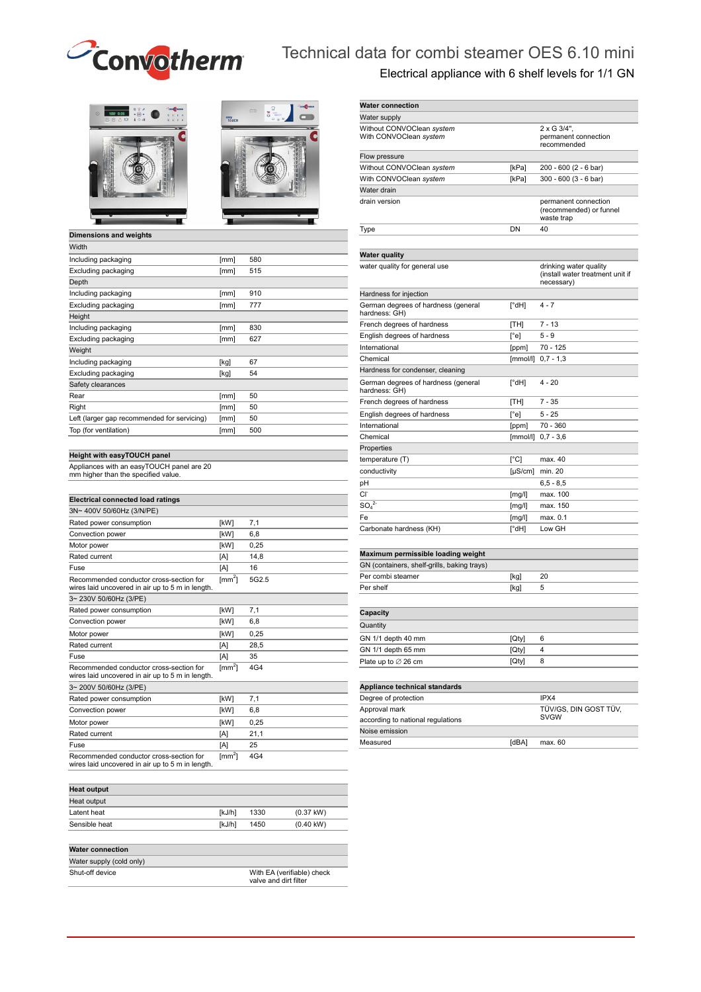

# Technical data for combi steamer OES 6.10 mini

Electrical appliance with 6 shelf levels for 1/1 GN

| $\theta$<br>$\odot$<br>100 0:25<br>۰<br>8850 104 | $2$ conforman |
|--------------------------------------------------|---------------|
|                                                  | c             |
|                                                  |               |
|                                                  |               |
|                                                  |               |
|                                                  |               |



### **Dimensions and weights**

| Width                                       |      |     |
|---------------------------------------------|------|-----|
| Including packaging                         | [mm] | 580 |
| Excluding packaging                         | [mm] | 515 |
| Depth                                       |      |     |
| Including packaging                         | [mm] | 910 |
| Excluding packaging                         | [mm] | 777 |
| Height                                      |      |     |
| Including packaging                         | [mm] | 830 |
| Excluding packaging                         | [mm] | 627 |
| Weight                                      |      |     |
| Including packaging                         | [kg] | 67  |
| Excluding packaging                         | [kg] | 54  |
| Safety clearances                           |      |     |
| Rear                                        | [mm] | 50  |
| Right                                       | [mm] | 50  |
| Left (larger gap recommended for servicing) | [mm] | 50  |
| Top (for ventilation)                       | [mm] | 500 |
|                                             |      |     |

#### **Height with easyTOUCH panel**

Appliances with an easyTOUCH panel are 20 mm higher than the specified value.

| <b>Electrical connected load ratings</b>                                                    |                         |       |
|---------------------------------------------------------------------------------------------|-------------------------|-------|
| 3N~400V 50/60Hz (3/N/PE)                                                                    |                         |       |
| Rated power consumption                                                                     | <b>IKW1</b>             | 7.1   |
| Convection power                                                                            | [kW]                    | 6.8   |
| Motor power                                                                                 | [kW]                    | 0.25  |
| Rated current                                                                               | [A]                     | 14.8  |
| Fuse                                                                                        | [A]                     | 16    |
| Recommended conductor cross-section for<br>wires laid uncovered in air up to 5 m in length. | $\text{[mm}^2$ ]        | 5G2.5 |
| 3~230V 50/60Hz (3/PE)                                                                       |                         |       |
| Rated power consumption                                                                     | <b>IkW1</b>             | 7.1   |
| Convection power                                                                            | [kW]                    | 6.8   |
| Motor power                                                                                 | [kW]                    | 0.25  |
| Rated current                                                                               | [A]                     | 28.5  |
| Fuse                                                                                        | [A]                     | 35    |
| Recommended conductor cross-section for<br>wires laid uncovered in air up to 5 m in length. | $\text{Im}\mathsf{m}^2$ | 4G4   |
| 3~200V 50/60Hz (3/PE)                                                                       |                         |       |
| Rated power consumption                                                                     | [kW]                    | 7.1   |
| Convection power                                                                            | [kW]                    | 6.8   |
| Motor power                                                                                 | [kW]                    | 0.25  |
| Rated current                                                                               | [A]                     | 21.1  |
| Fuse                                                                                        | [A]                     | 25    |
| Recommended conductor cross-section for<br>wires laid uncovered in air up to 5 m in length. | $\text{[mm}^2$          | 4G4   |

| <b>Heat output</b>       |        |                                                     |                     |
|--------------------------|--------|-----------------------------------------------------|---------------------|
| Heat output              |        |                                                     |                     |
| Latent heat              | [kJ/h] | 1330                                                | $(0.37$ kW)         |
| Sensible heat            | [kJ/h] | 1450                                                | $(0.40 \text{ kW})$ |
| <b>Water connection</b>  |        |                                                     |                     |
| Water supply (cold only) |        |                                                     |                     |
| Shut-off device          |        | With EA (verifiable) check<br>valve and dirt filter |                     |

| <b>Water connection</b>                              |                 |                                                                          |
|------------------------------------------------------|-----------------|--------------------------------------------------------------------------|
| Water supply                                         |                 |                                                                          |
| Without CONVOClean system<br>With CONVOClean system  |                 | $2 \times G$ 3/4".<br>permanent connection<br>recommended                |
| Flow pressure                                        |                 |                                                                          |
| Without CONVOClean system                            | [kPa]           | 200 - 600 (2 - 6 bar)                                                    |
| With CONVOClean system                               | [kPa]           | 300 - 600 (3 - 6 bar)                                                    |
| Water drain                                          |                 |                                                                          |
| drain version                                        |                 | permanent connection<br>(recommended) or funnel<br>waste trap            |
| Type                                                 | DN              | 40                                                                       |
|                                                      |                 |                                                                          |
| <b>Water quality</b>                                 |                 |                                                                          |
| water quality for general use                        |                 | drinking water quality<br>(install water treatment unit if<br>necessary) |
| Hardness for injection                               |                 |                                                                          |
| German degrees of hardness (general<br>hardness: GH) | $[^{\circ}$ dH] | $4 - 7$                                                                  |
| French degrees of hardness                           | [TH]            | $7 - 13$                                                                 |
| English degrees of hardness                          | $[^{\circ}$ e]  | $5 - 9$                                                                  |
| International                                        | [ppm]           | 70 - 125                                                                 |
| Chemical                                             | [mmol/l]        | $0,7 - 1,3$                                                              |
| Hardness for condenser, cleaning                     |                 |                                                                          |
| German degrees of hardness (general<br>hardness: GH) | [°dH]           | 4 - 20                                                                   |
| French degrees of hardness                           | [TH]            | $7 - 35$                                                                 |
| English degrees of hardness                          | $\lceil$ °e]    | $5 - 25$                                                                 |
| International                                        | [ppm]           | 70 - 360                                                                 |
| Chemical                                             | [mmol/l]        | $0,7 - 3,6$                                                              |
| Properties                                           |                 |                                                                          |
| temperature (T)                                      | $\lceil$ °C]    | max. 40                                                                  |
| conductivity                                         | $[\mu S/cm]$    | min. 20                                                                  |
| рH                                                   |                 | $6, 5 - 8, 5$                                                            |
| Cl.                                                  | [mg/l]          | max. 100                                                                 |
| $SO_4^2$                                             | [mg/l]          | max. 150                                                                 |
| Fe                                                   | [mg/l]          | max. 0.1                                                                 |
| Carbonate hardness (KH)                              | [°dH]           | Low GH                                                                   |
|                                                      |                 |                                                                          |
| Maximum permissible loading weight                   |                 |                                                                          |
| GN (containers, shelf-grills, baking trays)          |                 |                                                                          |
| Per combi steamer                                    | [kg]            | 20                                                                       |
| Per shelf                                            | [kg]            | 5                                                                        |
|                                                      |                 |                                                                          |
| Capacity                                             |                 |                                                                          |
| Quantity                                             |                 |                                                                          |
| GN 1/1 depth 40 mm                                   | [Qty]           | 6                                                                        |
| GN 1/1 depth 65 mm                                   | [Qty]           | 4                                                                        |
| Plate up to $\varnothing$ 26 cm                      | [Qty]           | 8                                                                        |

#### **Appliance technical standards**  Degree of protection IPX4 Approval mark according to national regulations TÜV/GS, DIN GOST TÜV, SVGW Noise emission Measured [dBA] max. 60